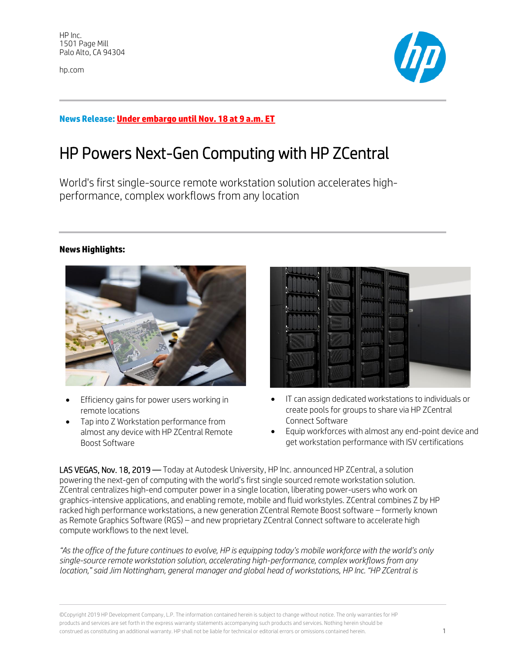hp.com



## **News Release: Under embargo until Nov. 18 at 9 a.m. ET**

# HP Powers Next-Gen Computing with HP ZCentral

World's first single-source remote workstation solution accelerates highperformance, complex workflows from any location

## **News Highlights:**



- Efficiency gains for power users working in remote locations
- Tap into Z Workstation performance from almost any device with HP ZCentral Remote Boost Software

| п      |  |
|--------|--|
| n      |  |
| n      |  |
| п      |  |
|        |  |
|        |  |
| u<br>z |  |
| E      |  |
|        |  |
|        |  |
|        |  |
| Π      |  |
| п      |  |
|        |  |
|        |  |
|        |  |
| ī.     |  |
| в      |  |
|        |  |
|        |  |
|        |  |
|        |  |
|        |  |
|        |  |
|        |  |
|        |  |
|        |  |
|        |  |
|        |  |
|        |  |
|        |  |
|        |  |
|        |  |
|        |  |

- IT can assign dedicated workstations to individuals or create pools for groups to share via HP ZCentral Connect Software
- Equip workforces with almost any end-point device and get workstation performance with ISV certifications

LAS VEGAS, Nov. 18, 2019 — Today at Autodesk University, HP Inc. announced HP ZCentral, a solution powering the next-gen of computing with the world's first single sourced remote workstation solution. ZCentral centralizes high-end computer power in a single location, liberating power-users who work on graphics-intensive applications, and enabling remote, mobile and fluid workstyles. ZCentral combines Z by HP racked high performance workstations, a new generation ZCentral Remote Boost software – formerly known as Remote Graphics Software (RGS) – and new proprietary ZCentral Connect software to accelerate high compute workflows to the next level.

*"As the office of the future continues to evolve, HP is equipping today's mobile workforce with the world's only single-source remote workstation solution, accelerating high-performance, complex workflows from any location," said Jim Nottingham, general manager and global head of workstations, HP Inc. "HP ZCentral is* 

©Copyright 2019 HP Development Company, L.P. The information contained herein is subject to change without notice. The only warranties for HP products and services are set forth in the express warranty statements accompanying such products and services. Nothing herein should be construed as constituting an additional warranty. HP shall not be liable for technical or editorial errors or omissions contained herein. 1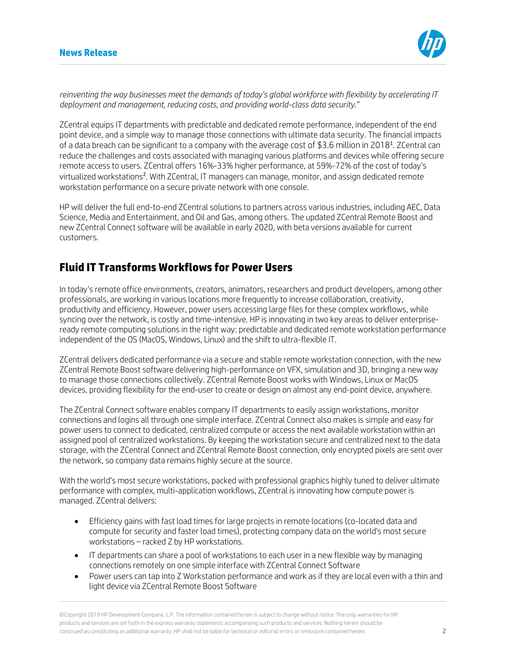

*reinventing the way businesses meet the demands of today's global workforce with flexibility by accelerating IT deployment and management, reducing costs, and providing world-class data security."*

ZCentral equips IT departments with predictable and dedicated remote performance, independent of the end point device, and a simple way to manage those connections with ultimate data security. The financial impacts of a data breach can be significant to a company with the average cost of \$3.6 million in 2018<sup>1</sup>. ZCentral can reduce the challenges and costs associated with managing various platforms and devices while offering secure remote access to users. ZCentral offers 16%-33% higher performance, at 59%-72% of the cost of today's virtualized workstations<sup>2</sup>. With ZCentral, IT managers can manage, monitor, and assign dedicated remote workstation performance on a secure private network with one console.

HP will deliver the full end-to-end ZCentral solutions to partners across various industries, including AEC, Data Science, Media and Entertainment, and Oil and Gas, among others. The updated ZCentral Remote Boost and new ZCentral Connect software will be available in early 2020, with beta versions available for current customers.

## **Fluid IT Transforms Workflows for Power Users**

In today's remote office environments, creators, animators, researchers and product developers, among other professionals, are working in various locations more frequently to increase collaboration, creativity, productivity and efficiency. However, power users accessing large files for these complex workflows, while syncing over the network, is costly and time-intensive. HP is innovating in two key areas to deliver enterpriseready remote computing solutions in the right way: predictable and dedicated remote workstation performance independent of the OS (MacOS, Windows, Linux) and the shift to ultra-flexible IT.

ZCentral delivers dedicated performance via a secure and stable remote workstation connection, with the new ZCentral Remote Boost software delivering high-performance on VFX, simulation and 3D, bringing a new way to manage those connections collectively. ZCentral Remote Boost works with Windows, Linux or MacOS devices, providing flexibility for the end-user to create or design on almost any end-point device, anywhere.

The ZCentral Connect software enables company IT departments to easily assign workstations, monitor connections and logins all through one simple interface. ZCentral Connect also makes is simple and easy for power users to connect to dedicated, centralized compute or access the next available workstation within an assigned pool of centralized workstations. By keeping the workstation secure and centralized next to the data storage, with the ZCentral Connect and ZCentral Remote Boost connection, only encrypted pixels are sent over the network, so company data remains highly secure at the source.

With the world's most secure workstations, packed with professional graphics highly tuned to deliver ultimate performance with complex, multi-application workflows, ZCentral is innovating how compute power is managed. ZCentral delivers:

- Efficiency gains with fast load times for large projects in remote locations (co-located data and compute for security and faster load times), protecting company data on the world's most secure workstations – racked Z by HP workstations.
- IT departments can share a pool of workstations to each user in a new flexible way by managing connections remotely on one simple interface with ZCentral Connect Software
- Power users can tap into Z Workstation performance and work as if they are local even with a thin and light device via ZCentral Remote Boost Software

©Copyright 2019 HP Development Company, L.P. The information contained herein is subject to change without notice. The only warranties for HP products and services are set forth in the express warranty statements accompanying such products and services. Nothing herein should be construed as constituting an additional warranty. HP shall not be liable for technical or editorial errors or omissions contained herein. 2